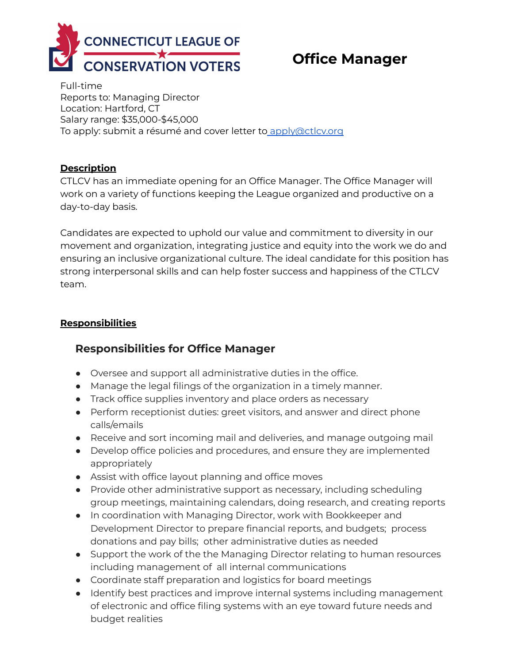

# **Office Manager**

Full-time Reports to: Managing Director Location: Hartford, CT Salary range: \$35,000-\$45,000 To apply: submit a résumé and cover letter to [apply@ctlcv.org](mailto:ctlcv@ctlcv.org)

### **Description**

CTLCV has an immediate opening for an Office Manager. The Office Manager will work on a variety of functions keeping the League organized and productive on a day-to-day basis.

Candidates are expected to uphold our value and commitment to diversity in our movement and organization, integrating justice and equity into the work we do and ensuring an inclusive organizational culture. The ideal candidate for this position has strong interpersonal skills and can help foster success and happiness of the CTLCV team.

## **Responsibilities**

# **Responsibilities for Office Manager**

- Oversee and support all administrative duties in the office.
- Manage the legal filings of the organization in a timely manner.
- Track office supplies inventory and place orders as necessary
- Perform receptionist duties: greet visitors, and answer and direct phone calls/emails
- Receive and sort incoming mail and deliveries, and manage outgoing mail
- Develop office policies and procedures, and ensure they are implemented appropriately
- Assist with office layout planning and office moves
- Provide other administrative support as necessary, including scheduling group meetings, maintaining calendars, doing research, and creating reports
- In coordination with Managing Director, work with Bookkeeper and Development Director to prepare financial reports, and budgets; process donations and pay bills; other administrative duties as needed
- Support the work of the the Managing Director relating to human resources including management of all internal communications
- Coordinate staff preparation and logistics for board meetings
- Identify best practices and improve internal systems including management of electronic and office filing systems with an eye toward future needs and budget realities